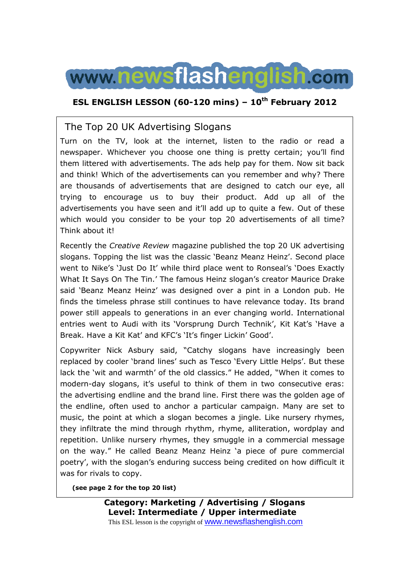

### **ESL ENGLISH LESSON (60-120 mins) – 10th February 2012**

## The Top 20 UK Advertising Slogans

Turn on the TV, look at the internet, listen to the radio or read a newspaper. Whichever you choose one thing is pretty certain; you'll find them littered with advertisements. The ads help pay for them. Now sit back and think! Which of the advertisements can you remember and why? There are thousands of advertisements that are designed to catch our eye, all trying to encourage us to buy their product. Add up all of the advertisements you have seen and it'll add up to quite a few. Out of these which would you consider to be your top 20 advertisements of all time? Think about it!

Recently the *Creative Review* magazine published the top 20 UK advertising slogans. Topping the list was the classic 'Beanz Meanz Heinz'. Second place went to Nike's 'Just Do It' while third place went to Ronseal's 'Does Exactly What It Says On The Tin.' The famous Heinz slogan's creator Maurice Drake said 'Beanz Meanz Heinz' was designed over a pint in a London pub. He finds the timeless phrase still continues to have relevance today. Its brand power still appeals to generations in an ever changing world. International entries went to Audi with its 'Vorsprung Durch Technik', Kit Kat's 'Have a Break. Have a Kit Kat' and KFC's 'It's finger Lickin' Good'.

Copywriter Nick Asbury said, "Catchy slogans have increasingly been replaced by cooler 'brand lines' such as Tesco 'Every Little Helps'. But these lack the 'wit and warmth' of the old classics." He added, "When it comes to modern-day slogans, it's useful to think of them in two consecutive eras: the advertising endline and the brand line. First there was the golden age of the endline, often used to anchor a particular campaign. Many are set to music, the point at which a slogan becomes a jingle. Like nursery rhymes, they infiltrate the mind through rhythm, rhyme, alliteration, wordplay and repetition. Unlike nursery rhymes, they smuggle in a commercial message on the way." He called Beanz Meanz Heinz 'a piece of pure commercial poetry', with the slogan's enduring success being credited on how difficult it was for rivals to copy.

**(see page 2 for the top 20 list)** 

**Category: Marketing / Advertising / Slogans Level: Intermediate / Upper intermediate** This ESL lesson is the copyright of www.newsflashenglish.com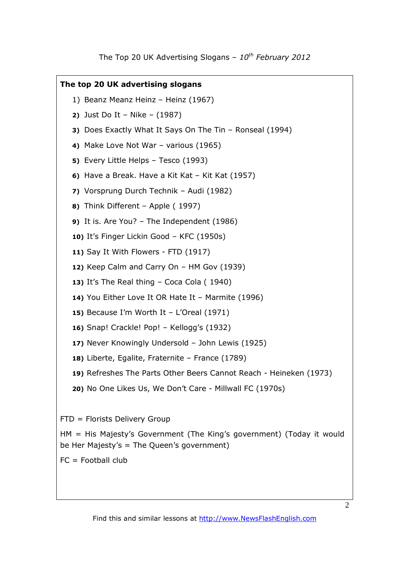### **The top 20 UK advertising slogans**

- 1) Beanz Meanz Heinz Heinz (1967)
- **2)** Just Do It Nike (1987)
- **3)** Does Exactly What It Says On The Tin Ronseal (1994)
- **4)** Make Love Not War various (1965)
- **5)** Every Little Helps Tesco (1993)
- **6)** Have a Break. Have a Kit Kat Kit Kat (1957)
- **7)** Vorsprung Durch Technik Audi (1982)
- **8)** Think Different Apple ( 1997)
- **9)** It is. Are You? The Independent (1986)
- **10)** It's Finger Lickin Good KFC (1950s)
- **11)** Say It With Flowers FTD (1917)
- **12)** Keep Calm and Carry On HM Gov (1939)
- **13)** It's The Real thing Coca Cola ( 1940)
- **14)** You Either Love It OR Hate It Marmite (1996)
- **15)** Because I'm Worth It L'Oreal (1971)
- **16)** Snap! Crackle! Pop! Kellogg's (1932)
- **17)** Never Knowingly Undersold John Lewis (1925)
- **18)** Liberte, Egalite, Fraternite France (1789)
- **19)** Refreshes The Parts Other Beers Cannot Reach Heineken (1973)
- **20)** No One Likes Us, We Don't Care Millwall FC (1970s)

FTD = Florists Delivery Group

HM = His Majesty's Government (The King's government) (Today it would be Her Majesty's = The Queen's government)

 $FC = Football club$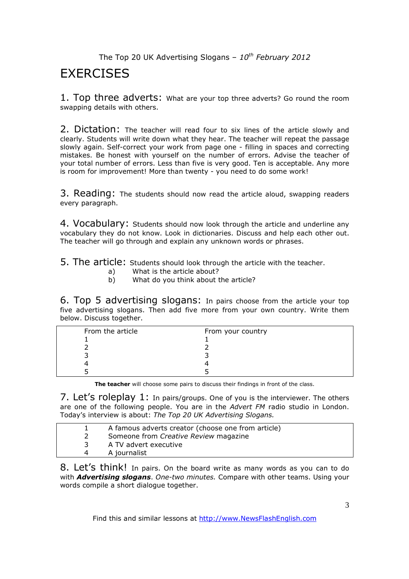# **FXFRCISES**

1. Top three adverts: What are your top three adverts? Go round the room swapping details with others.

2. Dictation: The teacher will read four to six lines of the article slowly and clearly. Students will write down what they hear. The teacher will repeat the passage slowly again. Self-correct your work from page one - filling in spaces and correcting mistakes. Be honest with yourself on the number of errors. Advise the teacher of your total number of errors. Less than five is very good. Ten is acceptable. Any more is room for improvement! More than twenty - you need to do some work!

3. Reading: The students should now read the article aloud, swapping readers every paragraph.

4. Vocabulary: Students should now look through the article and underline any vocabulary they do not know. Look in dictionaries. Discuss and help each other out. The teacher will go through and explain any unknown words or phrases.

5. The article: Students should look through the article with the teacher.

- a) What is the article about?
- b) What do you think about the article?

6. Top 5 advertising slogans: In pairs choose from the article your top five advertising slogans. Then add five more from your own country. Write them below. Discuss together.

| From the article | From your country |
|------------------|-------------------|
|                  |                   |
|                  |                   |
|                  |                   |
|                  |                   |
|                  |                   |

**The teacher** will choose some pairs to discuss their findings in front of the class.

7. Let's roleplay 1: In pairs/groups. One of you is the interviewer. The others are one of the following people. You are in the *Advert FM* radio studio in London. Today's interview is about: *The Top 20 UK Advertising Slogans.* 

|   | A famous adverts creator (choose one from article) |
|---|----------------------------------------------------|
|   | Someone from Creative Review magazine              |
|   | A TV advert executive                              |
| 4 | A journalist                                       |

8. Let's think! In pairs. On the board write as many words as you can to do with *Advertising slogans*. *One-two minutes.* Compare with other teams. Using your words compile a short dialogue together.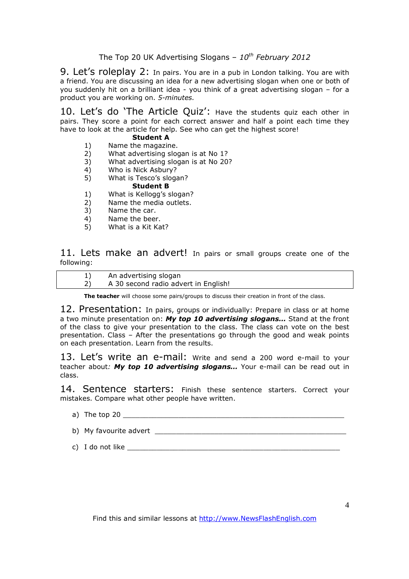9. Let's roleplay 2: In pairs. You are in a pub in London talking. You are with a friend. You are discussing an idea for a new advertising slogan when one or both of you suddenly hit on a brilliant idea - you think of a great advertising slogan – for a product you are working on. *5-minutes.* 

10. Let's do 'The Article Quiz': Have the students quiz each other in pairs. They score a point for each correct answer and half a point each time they have to look at the article for help. See who can get the highest score!

### **Student A**

- 1) Name the magazine.<br>2) What advertising slog
- 2) What advertising slogan is at No 1?
- 3) What advertising slogan is at No 20?
- 4) Who is Nick Asbury?<br>5) What is Tesco's sloga
- 5) What is Tesco's slogan? **Student B**
- 1) What is Kellogg's slogan?
- 2) Name the media outlets.
- 3) Name the car.
- 4) Name the beer.
- 5) What is a Kit Kat?

11. Lets make an advert! In pairs or small groups create one of the following:

| An advertising slogan                |
|--------------------------------------|
| A 30 second radio advert in English! |

**The teacher** will choose some pairs/groups to discuss their creation in front of the class.

12. Presentation: In pairs, groups or individually: Prepare in class or at home a two minute presentation on: *My top 10 advertising slogans…* Stand at the front of the class to give your presentation to the class. The class can vote on the best presentation. Class – After the presentations go through the good and weak points on each presentation. Learn from the results.

13. Let's write an e-mail: Write and send a 200 word e-mail to your teacher about*: My top 10 advertising slogans…* Your e-mail can be read out in class.

14. Sentence starters: Finish these sentence starters. Correct your mistakes. Compare what other people have written.

- a) The top 20
- b) My favourite advert \_\_\_\_\_\_\_\_\_\_\_\_\_\_\_\_\_\_\_\_\_\_\_\_\_\_\_\_\_\_\_\_\_\_\_\_\_\_\_\_\_\_\_\_\_
- c) I do not like \_\_\_\_\_\_\_\_\_\_\_\_\_\_\_\_\_\_\_\_\_\_\_\_\_\_\_\_\_\_\_\_\_\_\_\_\_\_\_\_\_\_\_\_\_\_\_\_\_\_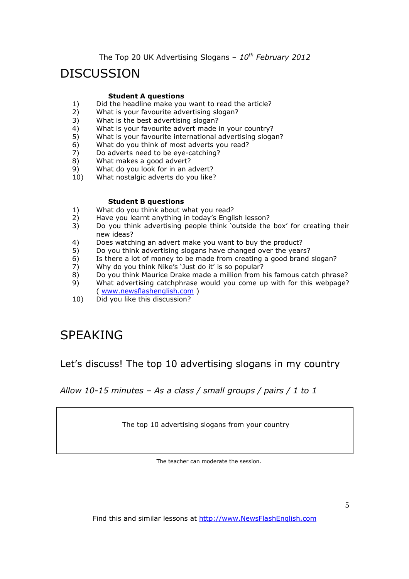# DISCUSSION

#### **Student A questions**

- 1) Did the headline make you want to read the article?<br>2) What is your favourite advertising slogan?
- What is your favourite advertising slogan?
- 3) What is the best advertising slogan?
- 4) What is your favourite advert made in your country?
- 5) What is your favourite international advertising slogan?
- 6) What do you think of most adverts you read?
- 7) Do adverts need to be eye-catching?
- 8) What makes a good advert?
- 9) What do you look for in an advert?
- 10) What nostalgic adverts do you like?

#### **Student B questions**

- 1) What do you think about what you read?
- 2) Have you learnt anything in today's English lesson?
- 3) Do you think advertising people think 'outside the box' for creating their new ideas?
- 4) Does watching an advert make you want to buy the product?
- 5) Do you think advertising slogans have changed over the years?
- 6) Is there a lot of money to be made from creating a good brand slogan?<br>
7) Why do you think Nike's 'Just do it' is so popular?
- Why do you think Nike's 'Just do it' is so popular?
- 8) Do you think Maurice Drake made a million from his famous catch phrase?
- 9) What advertising catchphrase would you come up with for this webpage? ( www.newsflashenglish.com )
- 10) Did you like this discussion?

# SPEAKING

Let's discuss! The top 10 advertising slogans in my country

*Allow 10-15 minutes – As a class / small groups / pairs / 1 to 1*

The top 10 advertising slogans from your country

The teacher can moderate the session.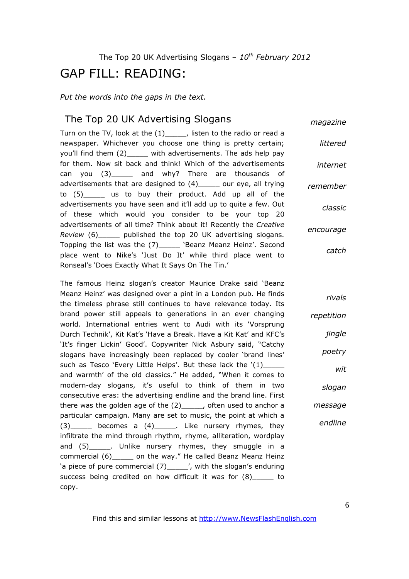# GAP FILL: READING:

*Put the words into the gaps in the text.* 

### The Top 20 UK Advertising Slogans

*magazine*

Turn on the TV, look at the (1)\_\_\_\_\_, listen to the radio or read a newspaper. Whichever you choose one thing is pretty certain; you'll find them (2) \_\_\_\_\_ with advertisements. The ads help pay for them. Now sit back and think! Which of the advertisements can you (3) and why? There are thousands of advertisements that are designed to (4)\_\_\_\_\_ our eye, all trying to (5)\_\_\_\_\_ us to buy their product. Add up all of the advertisements you have seen and it'll add up to quite a few. Out of these which would you consider to be your top 20 advertisements of all time? Think about it! Recently the *Creative Review* (6)\_\_\_\_\_ published the top 20 UK advertising slogans. Topping the list was the (7) The 'Beanz Meanz Heinz'. Second place went to Nike's 'Just Do It' while third place went to Ronseal's 'Does Exactly What It Says On The Tin.' *littered internet remember classic encourage catch*

The famous Heinz slogan's creator Maurice Drake said 'Beanz Meanz Heinz' was designed over a pint in a London pub. He finds the timeless phrase still continues to have relevance today. Its brand power still appeals to generations in an ever changing world. International entries went to Audi with its 'Vorsprung Durch Technik', Kit Kat's 'Have a Break. Have a Kit Kat' and KFC's 'It's finger Lickin' Good'. Copywriter Nick Asbury said, "Catchy slogans have increasingly been replaced by cooler 'brand lines' such as Tesco 'Every Little Helps'. But these lack the '(1)\_\_\_\_\_\_\_\_\_\_\_\_\_\_\_\_\_\_\_\_\_ and warmth' of the old classics." He added, "When it comes to modern-day slogans, it's useful to think of them in two consecutive eras: the advertising endline and the brand line. First there was the golden age of the  $(2)$ <sub>\_\_\_\_</sub>, often used to anchor a particular campaign. Many are set to music, the point at which a  $(3)$  becomes a  $(4)$  . Like nursery rhymes, they infiltrate the mind through rhythm, rhyme, alliteration, wordplay and (5)\_\_\_\_\_. Unlike nursery rhymes, they smuggle in a commercial (6)\_\_\_\_\_ on the way." He called Beanz Meanz Heinz 'a piece of pure commercial (7)\_\_\_\_\_', with the slogan's enduring success being credited on how difficult it was for (8)\_\_\_\_\_ to copy.

*jingle poetry wit slogan message endline*

*rivals*

*repetition*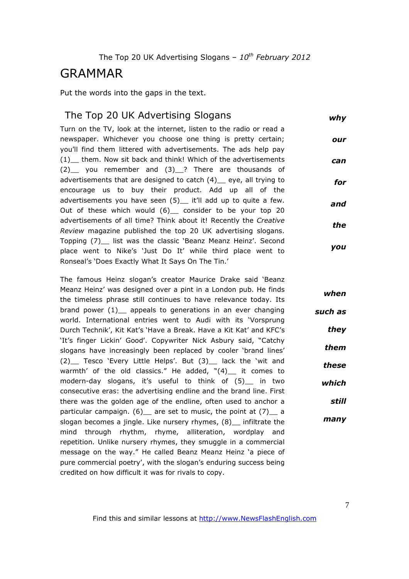## GRAMMAR

Put the words into the gaps in the text.

### The Top 20 UK Advertising Slogans

*why*

Turn on the TV, look at the internet, listen to the radio or read a newspaper. Whichever you choose one thing is pretty certain; you'll find them littered with advertisements. The ads help pay (1)\_\_ them. Now sit back and think! Which of the advertisements (2)\_\_ you remember and (3)\_\_? There are thousands of advertisements that are designed to catch (4) eye, all trying to encourage us to buy their product. Add up all of the advertisements you have seen (5)\_ it'll add up to quite a few. Out of these which would (6) consider to be your top 20 advertisements of all time? Think about it! Recently the *Creative Review* magazine published the top 20 UK advertising slogans. Topping (7)\_\_ list was the classic 'Beanz Meanz Heinz'. Second place went to Nike's 'Just Do It' while third place went to Ronseal's 'Does Exactly What It Says On The Tin.' *our can for and the you*

The famous Heinz slogan's creator Maurice Drake said 'Beanz Meanz Heinz' was designed over a pint in a London pub. He finds the timeless phrase still continues to have relevance today. Its brand power  $(1)$  appeals to generations in an ever changing world. International entries went to Audi with its 'Vorsprung Durch Technik', Kit Kat's 'Have a Break. Have a Kit Kat' and KFC's 'It's finger Lickin' Good'. Copywriter Nick Asbury said, "Catchy slogans have increasingly been replaced by cooler 'brand lines' (2) Tesco 'Every Little Helps'. But (3) lack the 'wit and warmth' of the old classics." He added,  $"(4)$  it comes to modern-day slogans, it's useful to think of (5)\_\_ in two consecutive eras: the advertising endline and the brand line. First there was the golden age of the endline, often used to anchor a particular campaign.  $(6)$  are set to music, the point at  $(7)$  a slogan becomes a jingle. Like nursery rhymes, (8) infiltrate the mind through rhythm, rhyme, alliteration, wordplay and repetition. Unlike nursery rhymes, they smuggle in a commercial message on the way." He called Beanz Meanz Heinz 'a piece of pure commercial poetry', with the slogan's enduring success being credited on how difficult it was for rivals to copy. *when such as they them these which many*

*still*